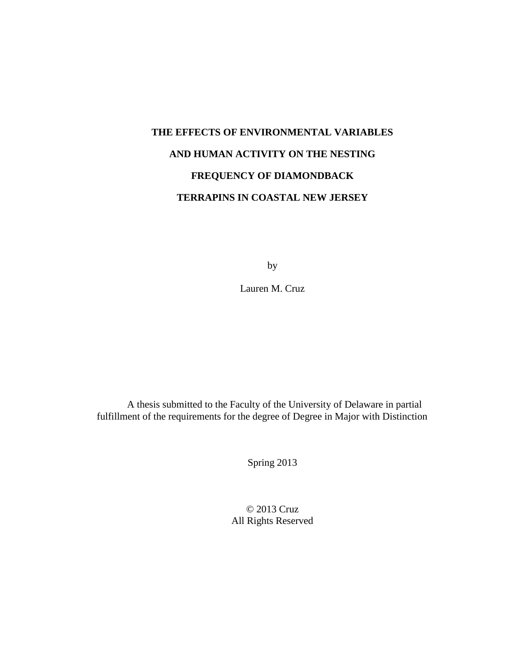## **THE EFFECTS OF ENVIRONMENTAL VARIABLES AND HUMAN ACTIVITY ON THE NESTING FREQUENCY OF DIAMONDBACK TERRAPINS IN COASTAL NEW JERSEY**

by

Lauren M. Cruz

A thesis submitted to the Faculty of the University of Delaware in partial fulfillment of the requirements for the degree of Degree in Major with Distinction

Spring 2013

© 2013 Cruz All Rights Reserved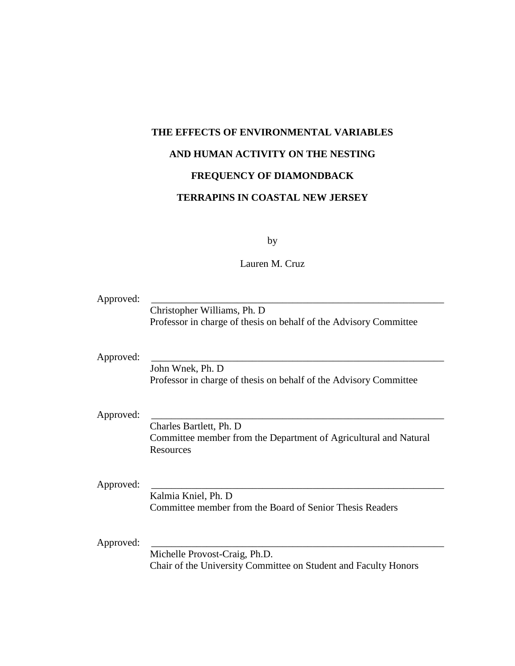# **THE EFFECTS OF ENVIRONMENTAL VARIABLES AND HUMAN ACTIVITY ON THE NESTING FREQUENCY OF DIAMONDBACK TERRAPINS IN COASTAL NEW JERSEY**

by

Lauren M. Cruz

| Approved: |                                                                   |
|-----------|-------------------------------------------------------------------|
|           | Christopher Williams, Ph. D.                                      |
|           | Professor in charge of thesis on behalf of the Advisory Committee |
|           |                                                                   |
| Approved: |                                                                   |
|           | John Wnek, Ph. D                                                  |
|           | Professor in charge of thesis on behalf of the Advisory Committee |
|           |                                                                   |
| Approved: |                                                                   |
|           | Charles Bartlett, Ph. D.                                          |
|           | Committee member from the Department of Agricultural and Natural  |
|           | Resources                                                         |
|           |                                                                   |
| Approved: |                                                                   |
|           | Kalmia Kniel, Ph. D                                               |
|           | Committee member from the Board of Senior Thesis Readers          |
|           |                                                                   |
| Approved: |                                                                   |
|           | Michelle Provost-Craig, Ph.D.                                     |
|           | Chair of the University Committee on Student and Faculty Honors   |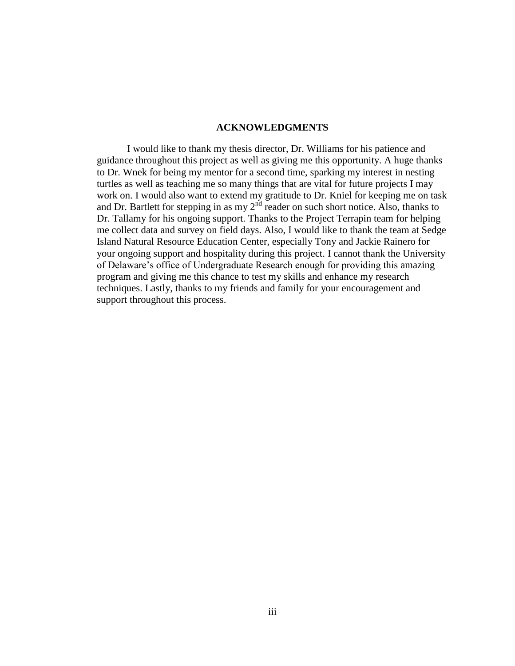#### **ACKNOWLEDGMENTS**

I would like to thank my thesis director, Dr. Williams for his patience and guidance throughout this project as well as giving me this opportunity. A huge thanks to Dr. Wnek for being my mentor for a second time, sparking my interest in nesting turtles as well as teaching me so many things that are vital for future projects I may work on. I would also want to extend my gratitude to Dr. Kniel for keeping me on task and Dr. Bartlett for stepping in as my  $2^{nd}$  reader on such short notice. Also, thanks to Dr. Tallamy for his ongoing support. Thanks to the Project Terrapin team for helping me collect data and survey on field days. Also, I would like to thank the team at Sedge Island Natural Resource Education Center, especially Tony and Jackie Rainero for your ongoing support and hospitality during this project. I cannot thank the University of Delaware's office of Undergraduate Research enough for providing this amazing program and giving me this chance to test my skills and enhance my research techniques. Lastly, thanks to my friends and family for your encouragement and support throughout this process.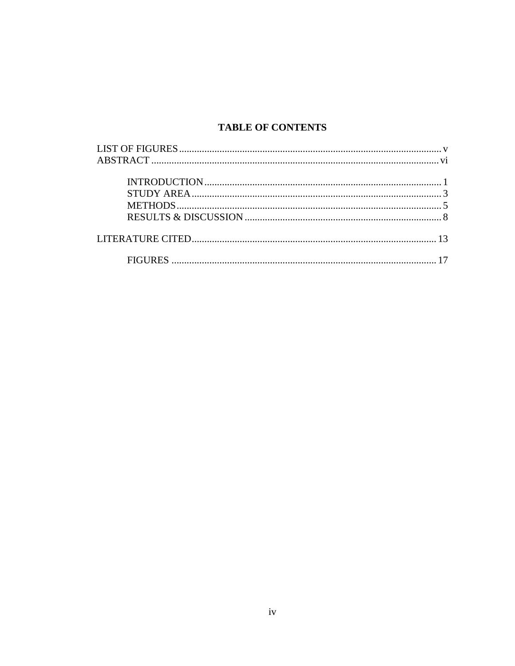### **TABLE OF CONTENTS**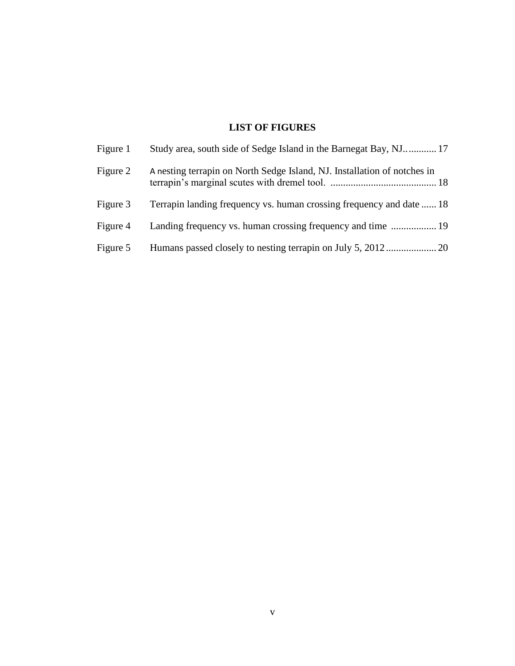## **LIST OF FIGURES**

<span id="page-4-0"></span>

| Figure 1 | Study area, south side of Sedge Island in the Barnegat Bay, NJ 17        |
|----------|--------------------------------------------------------------------------|
| Figure 2 | A nesting terrapin on North Sedge Island, NJ. Installation of notches in |
| Figure 3 | Terrapin landing frequency vs. human crossing frequency and date  18     |
| Figure 4 | Landing frequency vs. human crossing frequency and time  19              |
| Figure 5 |                                                                          |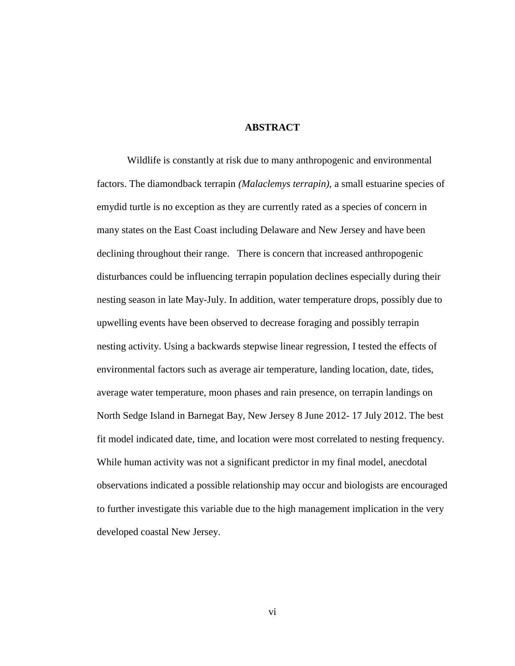#### **ABSTRACT**

<span id="page-5-0"></span>Wildlife is constantly at risk due to many anthropogenic and environmental factors. The diamondback terrapin *(Malaclemys terrapin)*, a small estuarine species of emydid turtle is no exception as they are currently rated as a species of concern in many states on the East Coast including Delaware and New Jersey and have been declining throughout their range. There is concern that increased anthropogenic disturbances could be influencing terrapin population declines especially during their nesting season in late May-July. In addition, water temperature drops, possibly due to upwelling events have been observed to decrease foraging and possibly terrapin nesting activity. Using a backwards stepwise linear regression, I tested the effects of environmental factors such as average air temperature, landing location, date, tides, average water temperature, moon phases and rain presence, on terrapin landings on North Sedge Island in Barnegat Bay, New Jersey 8 June 2012- 17 July 2012. The best fit model indicated date, time, and location were most correlated to nesting frequency. While human activity was not a significant predictor in my final model, anecdotal observations indicated a possible relationship may occur and biologists are encouraged to further investigate this variable due to the high management implication in the very developed coastal New Jersey.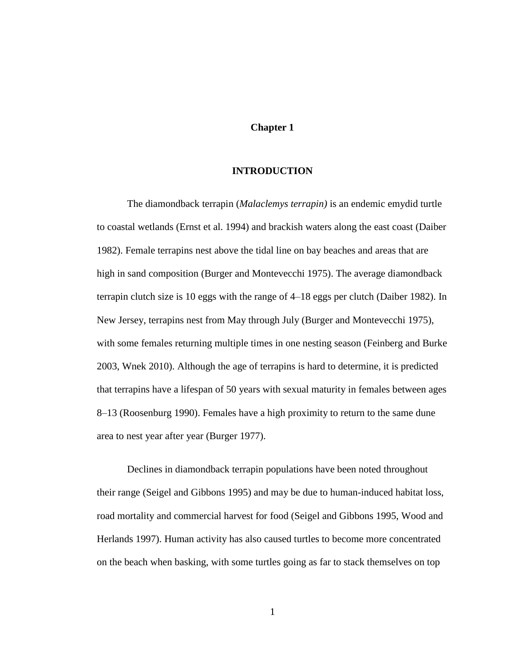#### **Chapter 1**

#### **INTRODUCTION**

<span id="page-6-0"></span>The diamondback terrapin (*Malaclemys terrapin)* is an endemic emydid turtle to coastal wetlands (Ernst et al. 1994) and brackish waters along the east coast (Daiber 1982). Female terrapins nest above the tidal line on bay beaches and areas that are high in sand composition (Burger and Montevecchi 1975). The average diamondback terrapin clutch size is 10 eggs with the range of 4–18 eggs per clutch (Daiber 1982). In New Jersey, terrapins nest from May through July (Burger and Montevecchi 1975), with some females returning multiple times in one nesting season (Feinberg and Burke 2003, Wnek 2010). Although the age of terrapins is hard to determine, it is predicted that terrapins have a lifespan of 50 years with sexual maturity in females between ages 8–13 (Roosenburg 1990). Females have a high proximity to return to the same dune area to nest year after year (Burger 1977).

Declines in diamondback terrapin populations have been noted throughout their range (Seigel and Gibbons 1995) and may be due to human-induced habitat loss, road mortality and commercial harvest for food (Seigel and Gibbons 1995, Wood and Herlands 1997). Human activity has also caused turtles to become more concentrated on the beach when basking, with some turtles going as far to stack themselves on top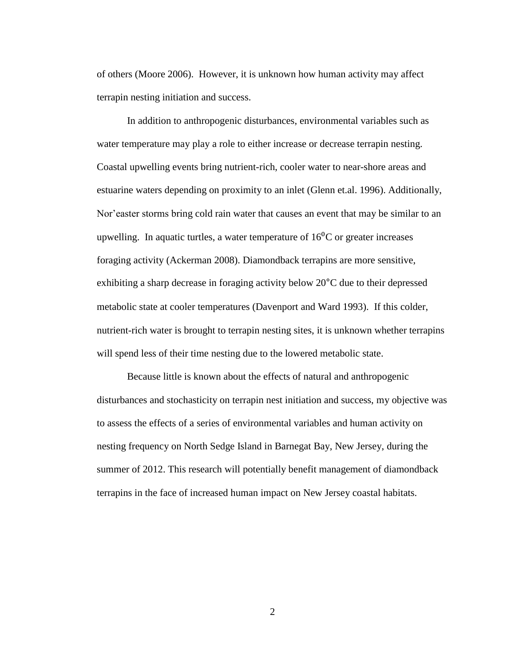of others (Moore 2006). However, it is unknown how human activity may affect terrapin nesting initiation and success.

In addition to anthropogenic disturbances, environmental variables such as water temperature may play a role to either increase or decrease terrapin nesting. Coastal upwelling events bring nutrient-rich, cooler water to near-shore areas and estuarine waters depending on proximity to an inlet (Glenn et.al. 1996). Additionally, Nor'easter storms bring cold rain water that causes an event that may be similar to an upwelling. In aquatic turtles, a water temperature of  $16<sup>0</sup>C$  or greater increases foraging activity (Ackerman 2008). Diamondback terrapins are more sensitive, exhibiting a sharp decrease in foraging activity below 20°C due to their depressed metabolic state at cooler temperatures (Davenport and Ward 1993). If this colder, nutrient-rich water is brought to terrapin nesting sites, it is unknown whether terrapins will spend less of their time nesting due to the lowered metabolic state.

Because little is known about the effects of natural and anthropogenic disturbances and stochasticity on terrapin nest initiation and success, my objective was to assess the effects of a series of environmental variables and human activity on nesting frequency on North Sedge Island in Barnegat Bay, New Jersey, during the summer of 2012. This research will potentially benefit management of diamondback terrapins in the face of increased human impact on New Jersey coastal habitats.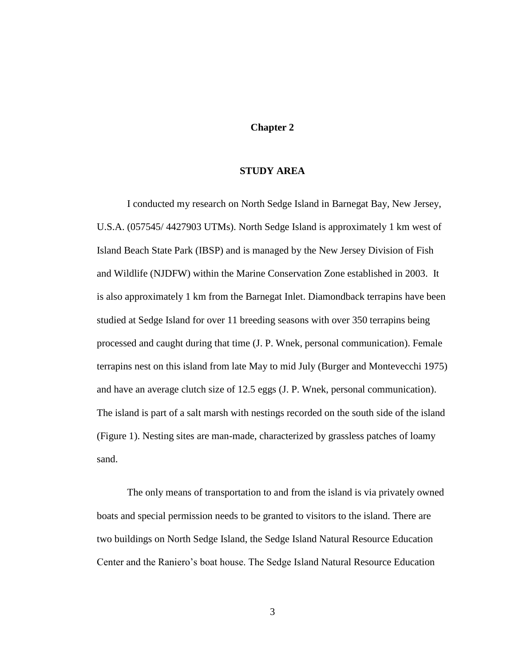#### **Chapter 2**

#### **STUDY AREA**

<span id="page-8-0"></span>I conducted my research on North Sedge Island in Barnegat Bay, New Jersey, U.S.A. (057545/ 4427903 UTMs). North Sedge Island is approximately 1 km west of Island Beach State Park (IBSP) and is managed by the New Jersey Division of Fish and Wildlife (NJDFW) within the Marine Conservation Zone established in 2003. It is also approximately 1 km from the Barnegat Inlet. Diamondback terrapins have been studied at Sedge Island for over 11 breeding seasons with over 350 terrapins being processed and caught during that time (J. P. Wnek, personal communication). Female terrapins nest on this island from late May to mid July (Burger and Montevecchi 1975) and have an average clutch size of 12.5 eggs (J. P. Wnek, personal communication). The island is part of a salt marsh with nestings recorded on the south side of the island (Figure 1). Nesting sites are man-made, characterized by grassless patches of loamy sand.

The only means of transportation to and from the island is via privately owned boats and special permission needs to be granted to visitors to the island. There are two buildings on North Sedge Island, the Sedge Island Natural Resource Education Center and the Raniero's boat house. The Sedge Island Natural Resource Education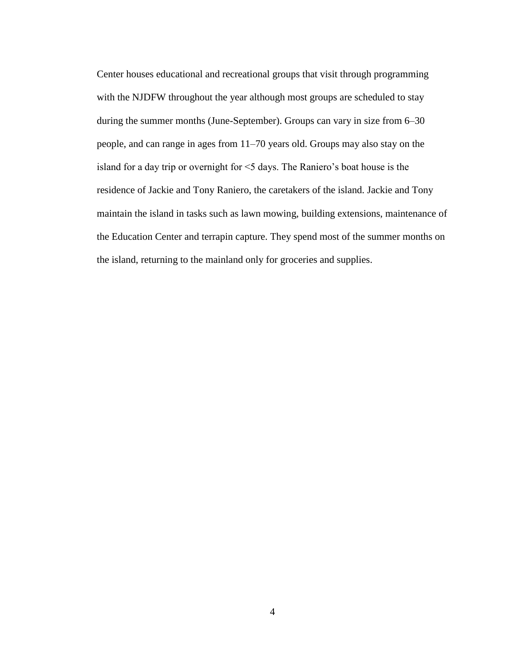Center houses educational and recreational groups that visit through programming with the NJDFW throughout the year although most groups are scheduled to stay during the summer months (June-September). Groups can vary in size from 6–30 people, and can range in ages from 11–70 years old. Groups may also stay on the island for a day trip or overnight for <5 days. The Raniero's boat house is the residence of Jackie and Tony Raniero, the caretakers of the island. Jackie and Tony maintain the island in tasks such as lawn mowing, building extensions, maintenance of the Education Center and terrapin capture. They spend most of the summer months on the island, returning to the mainland only for groceries and supplies.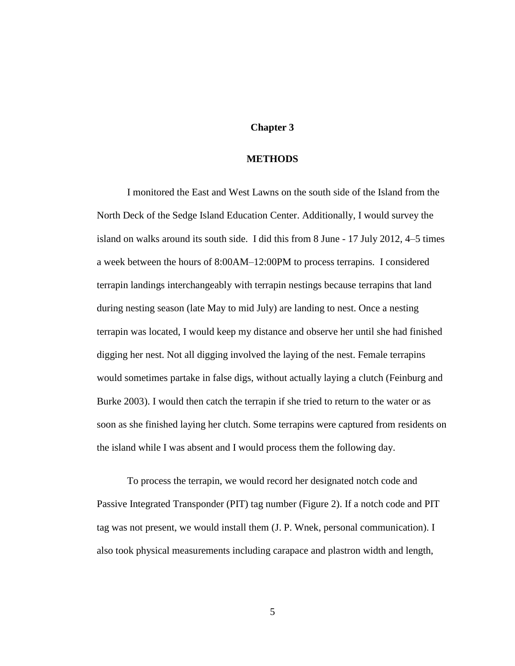#### **Chapter 3**

#### **METHODS**

<span id="page-10-0"></span>I monitored the East and West Lawns on the south side of the Island from the North Deck of the Sedge Island Education Center. Additionally, I would survey the island on walks around its south side. I did this from 8 June - 17 July 2012, 4–5 times a week between the hours of 8:00AM–12:00PM to process terrapins. I considered terrapin landings interchangeably with terrapin nestings because terrapins that land during nesting season (late May to mid July) are landing to nest. Once a nesting terrapin was located, I would keep my distance and observe her until she had finished digging her nest. Not all digging involved the laying of the nest. Female terrapins would sometimes partake in false digs, without actually laying a clutch (Feinburg and Burke 2003). I would then catch the terrapin if she tried to return to the water or as soon as she finished laying her clutch. Some terrapins were captured from residents on the island while I was absent and I would process them the following day.

To process the terrapin, we would record her designated notch code and Passive Integrated Transponder (PIT) tag number (Figure 2). If a notch code and PIT tag was not present, we would install them (J. P. Wnek, personal communication). I also took physical measurements including carapace and plastron width and length,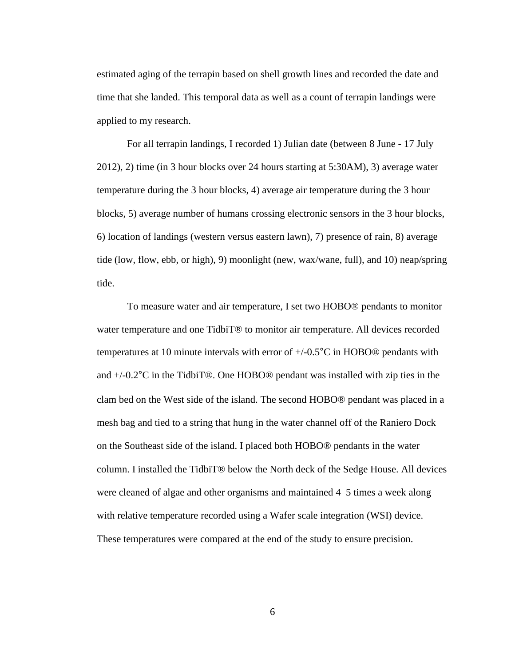estimated aging of the terrapin based on shell growth lines and recorded the date and time that she landed. This temporal data as well as a count of terrapin landings were applied to my research.

For all terrapin landings, I recorded 1) Julian date (between 8 June - 17 July 2012), 2) time (in 3 hour blocks over 24 hours starting at 5:30AM), 3) average water temperature during the 3 hour blocks, 4) average air temperature during the 3 hour blocks, 5) average number of humans crossing electronic sensors in the 3 hour blocks, 6) location of landings (western versus eastern lawn), 7) presence of rain, 8) average tide (low, flow, ebb, or high), 9) moonlight (new, wax/wane, full), and 10) neap/spring tide.

To measure water and air temperature, I set two HOBO® pendants to monitor water temperature and one TidbiT<sup>®</sup> to monitor air temperature. All devices recorded temperatures at 10 minute intervals with error of +/-0.5°C in HOBO® pendants with and +/-0.2°C in the TidbiT®. One HOBO® pendant was installed with zip ties in the clam bed on the West side of the island. The second HOBO® pendant was placed in a mesh bag and tied to a string that hung in the water channel off of the Raniero Dock on the Southeast side of the island. I placed both HOBO® pendants in the water column. I installed the TidbiT® below the North deck of the Sedge House. All devices were cleaned of algae and other organisms and maintained 4–5 times a week along with relative temperature recorded using a Wafer scale integration (WSI) device. These temperatures were compared at the end of the study to ensure precision.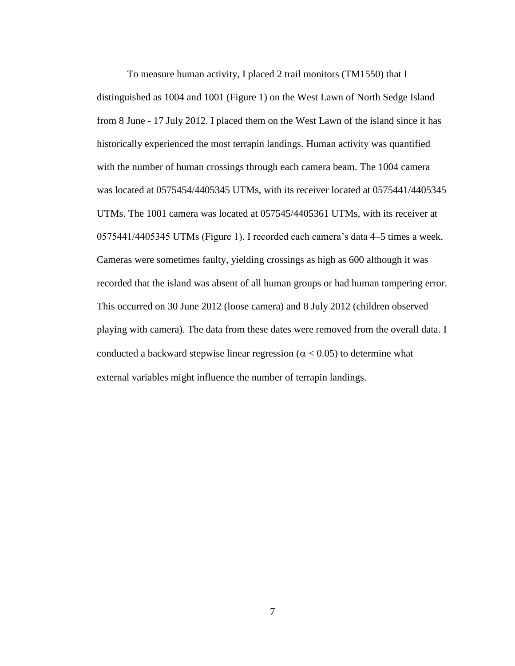To measure human activity, I placed 2 trail monitors (TM1550) that I distinguished as 1004 and 1001 (Figure 1) on the West Lawn of North Sedge Island from 8 June - 17 July 2012. I placed them on the West Lawn of the island since it has historically experienced the most terrapin landings. Human activity was quantified with the number of human crossings through each camera beam. The 1004 camera was located at 0575454/4405345 UTMs, with its receiver located at 0575441/4405345 UTMs. The 1001 camera was located at 057545/4405361 UTMs, with its receiver at 0575441/4405345 UTMs (Figure 1). I recorded each camera's data 4–5 times a week. Cameras were sometimes faulty, yielding crossings as high as 600 although it was recorded that the island was absent of all human groups or had human tampering error. This occurred on 30 June 2012 (loose camera) and 8 July 2012 (children observed playing with camera). The data from these dates were removed from the overall data. I conducted a backward stepwise linear regression ( $\alpha \leq 0.05$ ) to determine what external variables might influence the number of terrapin landings.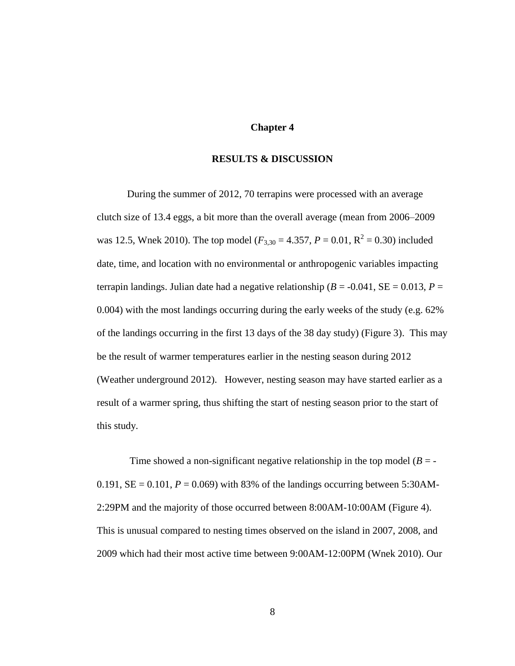#### **Chapter 4**

#### **RESULTS & DISCUSSION**

<span id="page-13-0"></span>During the summer of 2012, 70 terrapins were processed with an average clutch size of 13.4 eggs, a bit more than the overall average (mean from 2006–2009 was 12.5, Wnek 2010). The top model ( $F_{3,30} = 4.357$ ,  $P = 0.01$ ,  $R^2 = 0.30$ ) included date, time, and location with no environmental or anthropogenic variables impacting terrapin landings. Julian date had a negative relationship ( $B = -0.041$ ,  $SE = 0.013$ ,  $P =$ 0.004) with the most landings occurring during the early weeks of the study (e.g. 62% of the landings occurring in the first 13 days of the 38 day study) (Figure 3). This may be the result of warmer temperatures earlier in the nesting season during 2012 (Weather underground 2012). However, nesting season may have started earlier as a result of a warmer spring, thus shifting the start of nesting season prior to the start of this study.

Time showed a non-significant negative relationship in the top model  $(B = -1)$ 0.191,  $SE = 0.101$ ,  $P = 0.069$ ) with 83% of the landings occurring between 5:30AM-2:29PM and the majority of those occurred between 8:00AM-10:00AM (Figure 4). This is unusual compared to nesting times observed on the island in 2007, 2008, and 2009 which had their most active time between 9:00AM-12:00PM (Wnek 2010). Our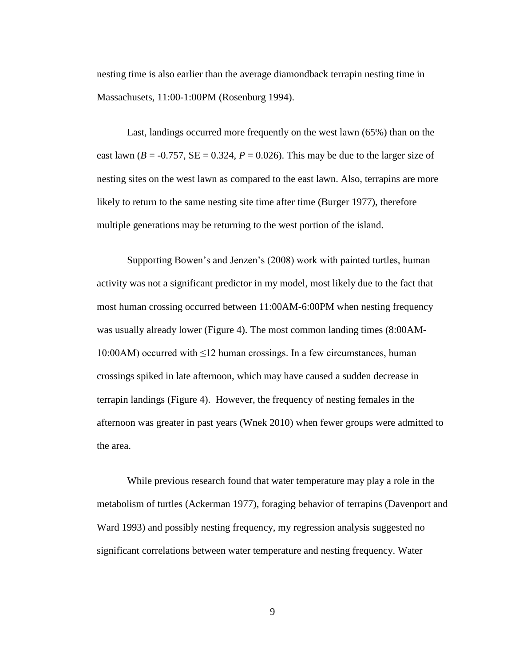nesting time is also earlier than the average diamondback terrapin nesting time in Massachusets, 11:00-1:00PM (Rosenburg 1994).

Last, landings occurred more frequently on the west lawn (65%) than on the east lawn ( $B = -0.757$ ,  $SE = 0.324$ ,  $P = 0.026$ ). This may be due to the larger size of nesting sites on the west lawn as compared to the east lawn. Also, terrapins are more likely to return to the same nesting site time after time (Burger 1977), therefore multiple generations may be returning to the west portion of the island.

Supporting Bowen's and Jenzen's (2008) work with painted turtles, human activity was not a significant predictor in my model, most likely due to the fact that most human crossing occurred between 11:00AM-6:00PM when nesting frequency was usually already lower (Figure 4). The most common landing times (8:00AM-10:00AM) occurred with ≤12 human crossings. In a few circumstances, human crossings spiked in late afternoon, which may have caused a sudden decrease in terrapin landings (Figure 4). However, the frequency of nesting females in the afternoon was greater in past years (Wnek 2010) when fewer groups were admitted to the area.

While previous research found that water temperature may play a role in the metabolism of turtles (Ackerman 1977), foraging behavior of terrapins (Davenport and Ward 1993) and possibly nesting frequency, my regression analysis suggested no significant correlations between water temperature and nesting frequency. Water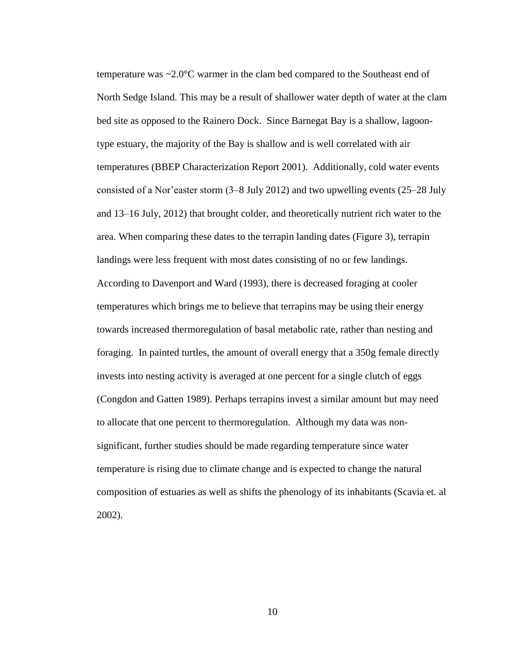temperature was ~2.0°C warmer in the clam bed compared to the Southeast end of North Sedge Island. This may be a result of shallower water depth of water at the clam bed site as opposed to the Rainero Dock. Since Barnegat Bay is a shallow, lagoontype estuary, the majority of the Bay is shallow and is well correlated with air temperatures (BBEP Characterization Report 2001). Additionally, cold water events consisted of a Nor'easter storm (3–8 July 2012) and two upwelling events (25–28 July and 13–16 July, 2012) that brought colder, and theoretically nutrient rich water to the area. When comparing these dates to the terrapin landing dates (Figure 3), terrapin landings were less frequent with most dates consisting of no or few landings. According to Davenport and Ward (1993), there is decreased foraging at cooler temperatures which brings me to believe that terrapins may be using their energy towards increased thermoregulation of basal metabolic rate, rather than nesting and foraging. In painted turtles, the amount of overall energy that a 350g female directly invests into nesting activity is averaged at one percent for a single clutch of eggs (Congdon and Gatten 1989). Perhaps terrapins invest a similar amount but may need to allocate that one percent to thermoregulation. Although my data was nonsignificant, further studies should be made regarding temperature since water temperature is rising due to climate change and is expected to change the natural composition of estuaries as well as shifts the phenology of its inhabitants (Scavia et. al 2002).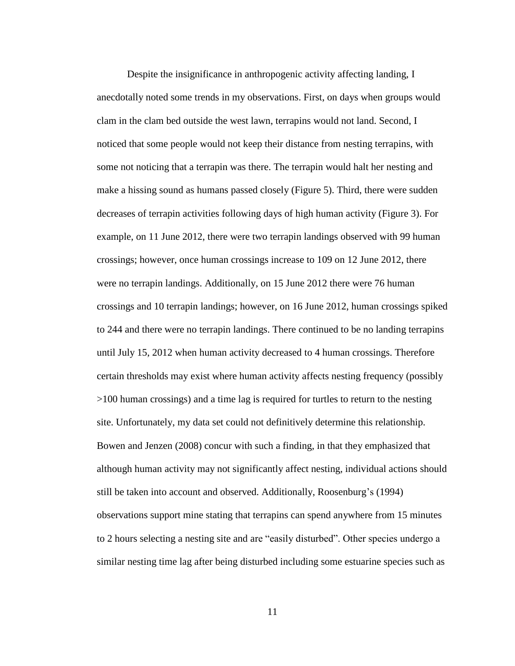Despite the insignificance in anthropogenic activity affecting landing, I anecdotally noted some trends in my observations. First, on days when groups would clam in the clam bed outside the west lawn, terrapins would not land. Second, I noticed that some people would not keep their distance from nesting terrapins, with some not noticing that a terrapin was there. The terrapin would halt her nesting and make a hissing sound as humans passed closely (Figure 5). Third, there were sudden decreases of terrapin activities following days of high human activity (Figure 3). For example, on 11 June 2012, there were two terrapin landings observed with 99 human crossings; however, once human crossings increase to 109 on 12 June 2012, there were no terrapin landings. Additionally, on 15 June 2012 there were 76 human crossings and 10 terrapin landings; however, on 16 June 2012, human crossings spiked to 244 and there were no terrapin landings. There continued to be no landing terrapins until July 15, 2012 when human activity decreased to 4 human crossings. Therefore certain thresholds may exist where human activity affects nesting frequency (possibly >100 human crossings) and a time lag is required for turtles to return to the nesting site. Unfortunately, my data set could not definitively determine this relationship. Bowen and Jenzen (2008) concur with such a finding, in that they emphasized that although human activity may not significantly affect nesting, individual actions should still be taken into account and observed. Additionally, Roosenburg's (1994) observations support mine stating that terrapins can spend anywhere from 15 minutes to 2 hours selecting a nesting site and are "easily disturbed". Other species undergo a similar nesting time lag after being disturbed including some estuarine species such as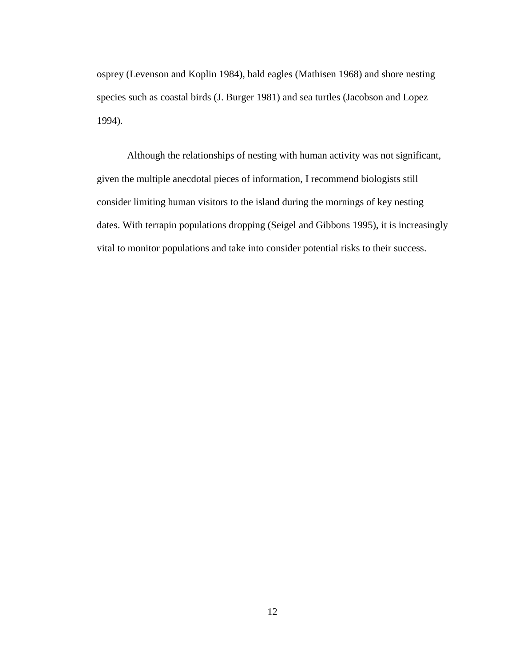osprey (Levenson and Koplin 1984), bald eagles (Mathisen 1968) and shore nesting species such as coastal birds (J. Burger 1981) and sea turtles (Jacobson and Lopez 1994).

 Although the relationships of nesting with human activity was not significant, given the multiple anecdotal pieces of information, I recommend biologists still consider limiting human visitors to the island during the mornings of key nesting dates. With terrapin populations dropping (Seigel and Gibbons 1995), it is increasingly vital to monitor populations and take into consider potential risks to their success.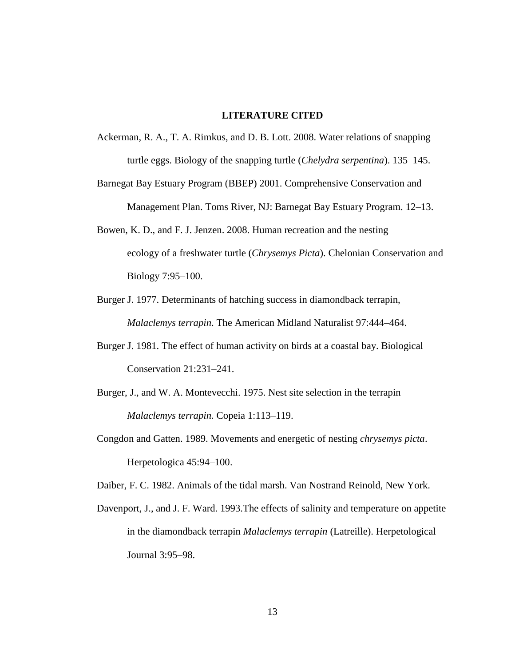#### **LITERATURE CITED**

- <span id="page-18-0"></span>Ackerman, R. A., T. A. Rimkus, and D. B. Lott. 2008. Water relations of snapping turtle eggs. Biology of the snapping turtle (*Chelydra serpentina*). 135–145.
- Barnegat Bay Estuary Program (BBEP) 2001. Comprehensive Conservation and Management Plan. Toms River, NJ: Barnegat Bay Estuary Program. 12–13.
- Bowen, K. D., and F. J. Jenzen. 2008. Human recreation and the nesting ecology of a freshwater turtle (*Chrysemys Picta*). Chelonian Conservation and Biology 7:95–100.
- Burger J. 1977. Determinants of hatching success in diamondback terrapin, *Malaclemys terrapin*. The American Midland Naturalist 97:444–464.
- Burger J. 1981. The effect of human activity on birds at a coastal bay. Biological Conservation 21:231–241.
- Burger, J., and W. A. Montevecchi. 1975. Nest site selection in the terrapin *Malaclemys terrapin.* Copeia 1:113–119.
- Congdon and Gatten. 1989. Movements and energetic of nesting *chrysemys picta*. Herpetologica 45:94–100.

Daiber, F. C. 1982. Animals of the tidal marsh. Van Nostrand Reinold, New York.

Davenport, J., and J. F. Ward. 1993.The effects of salinity and temperature on appetite in the diamondback terrapin *Malaclemys terrapin* (Latreille). Herpetological Journal 3:95–98.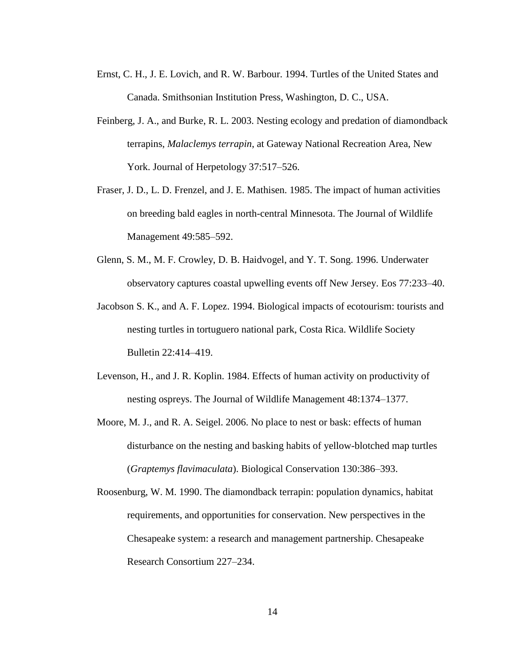- Ernst, C. H., J. E. Lovich, and R. W. Barbour. 1994. Turtles of the United States and Canada. Smithsonian Institution Press, Washington, D. C., USA.
- Feinberg, J. A., and Burke, R. L. 2003. Nesting ecology and predation of diamondback terrapins, *Malaclemys terrapin*, at Gateway National Recreation Area, New York. Journal of Herpetology 37:517–526.
- Fraser, J. D., L. D. Frenzel, and J. E. Mathisen. 1985. The impact of human activities on breeding bald eagles in north-central Minnesota. The Journal of Wildlife Management 49:585–592.
- Glenn, S. M., M. F. Crowley, D. B. Haidvogel, and Y. T. Song. 1996. Underwater observatory captures coastal upwelling events off New Jersey. Eos 77:233–40.
- Jacobson S. K., and A. F. Lopez. 1994. Biological impacts of ecotourism: tourists and nesting turtles in tortuguero national park, Costa Rica. Wildlife Society Bulletin 22:414–419.
- Levenson, H., and J. R. Koplin. 1984. Effects of human activity on productivity of nesting ospreys. The Journal of Wildlife Management 48:1374–1377.
- Moore, M. J., and R. A. Seigel. 2006. No place to nest or bask: effects of human disturbance on the nesting and basking habits of yellow-blotched map turtles (*Graptemys flavimaculata*). Biological Conservation 130:386–393.
- Roosenburg, W. M. 1990. The diamondback terrapin: population dynamics, habitat requirements, and opportunities for conservation. New perspectives in the Chesapeake system: a research and management partnership. Chesapeake Research Consortium 227–234.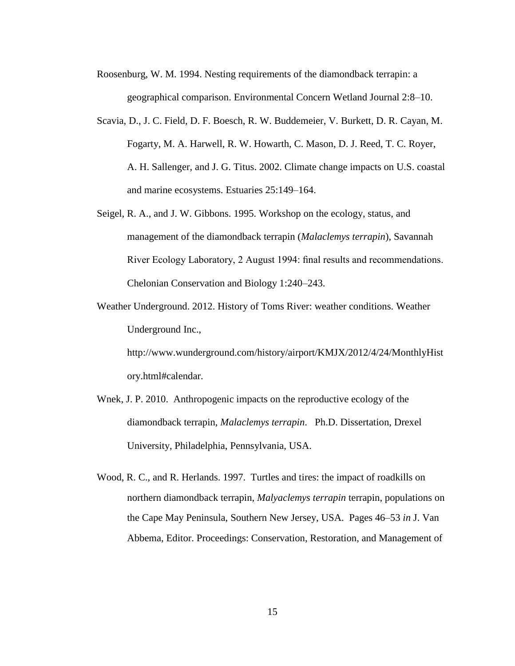- Roosenburg, W. M. 1994. Nesting requirements of the diamondback terrapin: a geographical comparison. Environmental Concern Wetland Journal 2:8–10.
- Scavia, D., J. C. Field, D. F. Boesch, R. W. Buddemeier, V. Burkett, D. R. Cayan, M. Fogarty, M. A. Harwell, R. W. Howarth, C. Mason, D. J. Reed, T. C. Royer, A. H. Sallenger, and J. G. Titus. 2002. Climate change impacts on U.S. coastal and marine ecosystems. Estuaries 25:149–164.
- Seigel, R. A., and J. W. Gibbons. 1995. Workshop on the ecology, status, and management of the diamondback terrapin (*Malaclemys terrapin*), Savannah River Ecology Laboratory, 2 August 1994: final results and recommendations. Chelonian Conservation and Biology 1:240–243.
- Weather Underground. 2012. History of Toms River: weather conditions. Weather Underground Inc.,

http://www.wunderground.com/history/airport/KMJX/2012/4/24/MonthlyHist ory.html#calendar.

- Wnek, J. P. 2010. Anthropogenic impacts on the reproductive ecology of the diamondback terrapin, *Malaclemys terrapin*. Ph.D. Dissertation, Drexel University, Philadelphia, Pennsylvania, USA.
- Wood, R. C., and R. Herlands. 1997. Turtles and tires: the impact of roadkills on northern diamondback terrapin, *Malyaclemys terrapin* terrapin, populations on the Cape May Peninsula, Southern New Jersey, USA. Pages 46–53 *in* J. Van Abbema, Editor. Proceedings: Conservation, Restoration, and Management of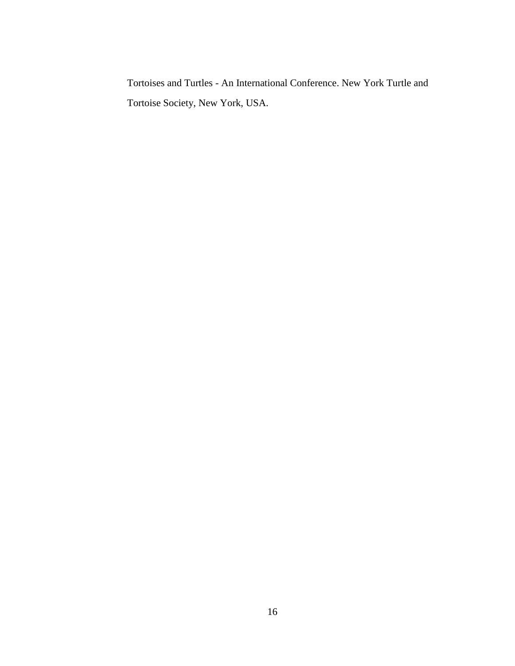Tortoises and Turtles - An International Conference. New York Turtle and Tortoise Society, New York, USA.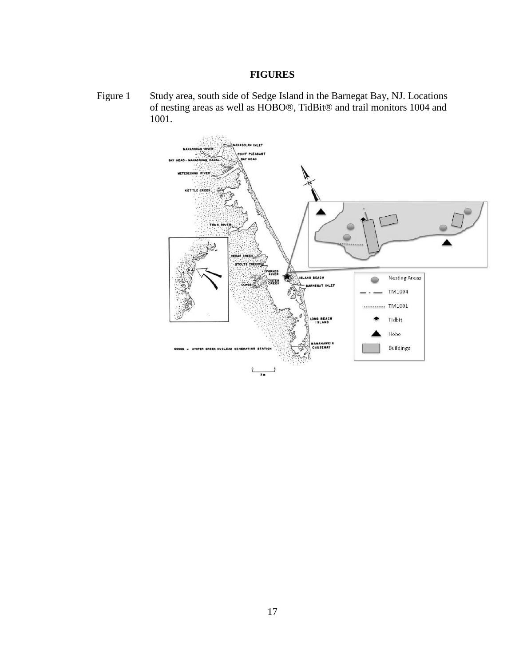#### **FIGURES**

<span id="page-22-1"></span><span id="page-22-0"></span>Figure 1 Study area, south side of Sedge Island in the Barnegat Bay, NJ. Locations of nesting areas as well as HOBO®, TidBit® and trail monitors 1004 and 1001.

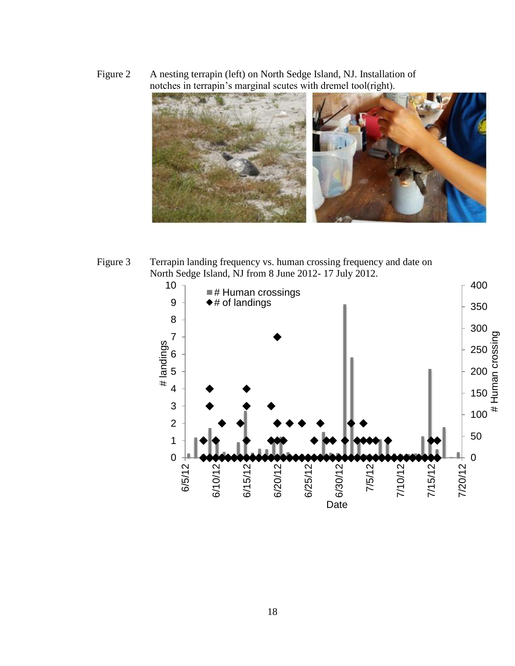<span id="page-23-0"></span>Figure 2 A nesting terrapin (left) on North Sedge Island, NJ. Installation of notches in terrapin's marginal scutes with dremel tool(right).



<span id="page-23-1"></span>Figure 3 Terrapin landing frequency vs. human crossing frequency and date on North Sedge Island, NJ from 8 June 2012- 17 July 2012.

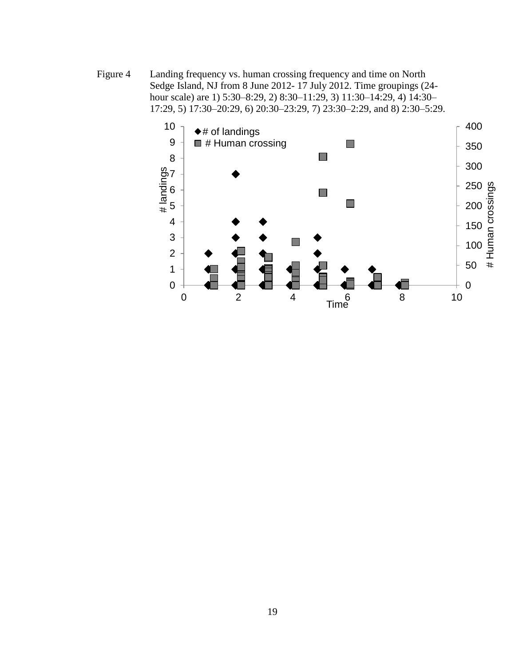<span id="page-24-0"></span>Figure 4 Landing frequency vs. human crossing frequency and time on North Sedge Island, NJ from 8 June 2012- 17 July 2012. Time groupings (24 hour scale) are 1) 5:30–8:29, 2) 8:30–11:29, 3) 11:30–14:29, 4) 14:30– 17:29, 5) 17:30–20:29, 6) 20:30–23:29, 7) 23:30–2:29, and 8) 2:30–5:29.